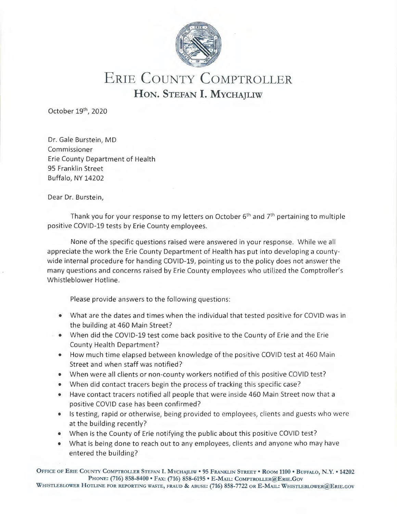

## ERIE COUNTY COMPTROLLER **HON.** STEFAN I. MYCHAJLIW

October 19<sup>th</sup>, 2020

Dr. Gale Burstein, MD Commissioner Erie County Department of Health 95 Franklin Street Buffalo, NY 14202

Dear Dr. Burstein,

Thank you for your response to my letters on October 6<sup>th</sup> and 7<sup>th</sup> pertaining to multiple positive COVID-19 tests by Erie County employees.

None of the specific questions raised were answered in your response. While we all appreciate the work the Erie County Department of Health has put into developing a countywide internal procedure for handing COVID-19, pointing us to the policy does not answer the many questions and concerns raised by Erie County employees who utilized the Comptroller's Whistleblower Hotline.

Please provide answers to the following questions:

- What are the dates and times when the individual that tested positive for COVID was in the building at 460 Main Street?
- When did the COVID-19 test come back positive to the County of Erie and the Erie County Health Department?
- How much time elapsed between knowledge of the positive COVID test at 460 Main Street and when staff was notified?
- When were all clients or non-county workers notified of this positive COVID test?
- When did contact tracers begin the process of tracking this specific case?
- Have contact tracers notified all people that were inside 460 Main Street now that a positive COVID case has been confirmed?
- Is testing, rapid or otherwise, being provided to employees, clients and guests who were at the building recently?
- When is the County of Erie notifying the public about this positive COVID test?
- What is being done to reach out to any employees, clients and anyone who may have entered the building?

ÜFFICE OF ERIE COUNTY COMPTROLLER STEFAN I. MYCHAJLIW • 95 FRANKLIN STREET• ROOM 1100 • BUFFALO, **N.Y. •** 14202 PHONE: (716) 858-8400 • FAX: (716) 858-6195 • E-MAIL: CoMPTROLLER@ERIE.Gov WHISTLEBLOWER HOTLINE FOR REPORTING WASTE, FRAUD & ABUSE: (716) 858-7722 OR E-MAIL: WHISTLEBLOWER@ERIE.GOV